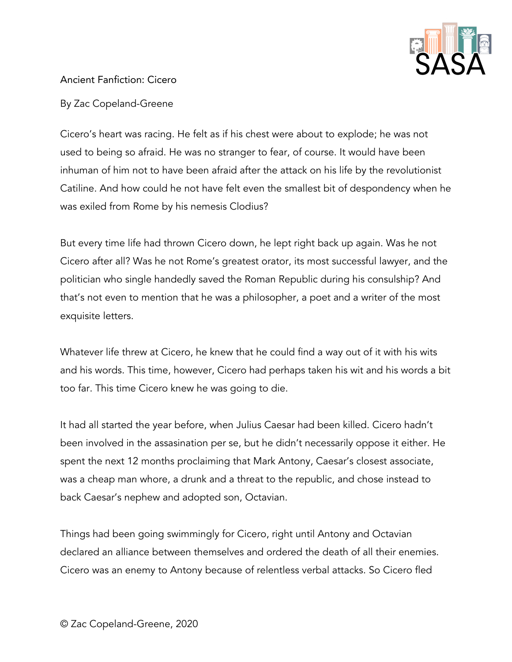

## Ancient Fanfiction: Cicero

By Zac Copeland-Greene

Cicero's heart was racing. He felt as if his chest were about to explode; he was not used to being so afraid. He was no stranger to fear, of course. It would have been inhuman of him not to have been afraid after the attack on his life by the revolutionist Catiline. And how could he not have felt even the smallest bit of despondency when he was exiled from Rome by his nemesis Clodius?

But every time life had thrown Cicero down, he lept right back up again. Was he not Cicero after all? Was he not Rome's greatest orator, its most successful lawyer, and the politician who single handedly saved the Roman Republic during his consulship? And that's not even to mention that he was a philosopher, a poet and a writer of the most exquisite letters.

Whatever life threw at Cicero, he knew that he could find a way out of it with his wits and his words. This time, however, Cicero had perhaps taken his wit and his words a bit too far. This time Cicero knew he was going to die.

It had all started the year before, when Julius Caesar had been killed. Cicero hadn't been involved in the assasination per se, but he didn't necessarily oppose it either. He spent the next 12 months proclaiming that Mark Antony, Caesar's closest associate, was a cheap man whore, a drunk and a threat to the republic, and chose instead to back Caesar's nephew and adopted son, Octavian.

Things had been going swimmingly for Cicero, right until Antony and Octavian declared an alliance between themselves and ordered the death of all their enemies. Cicero was an enemy to Antony because of relentless verbal attacks. So Cicero fled